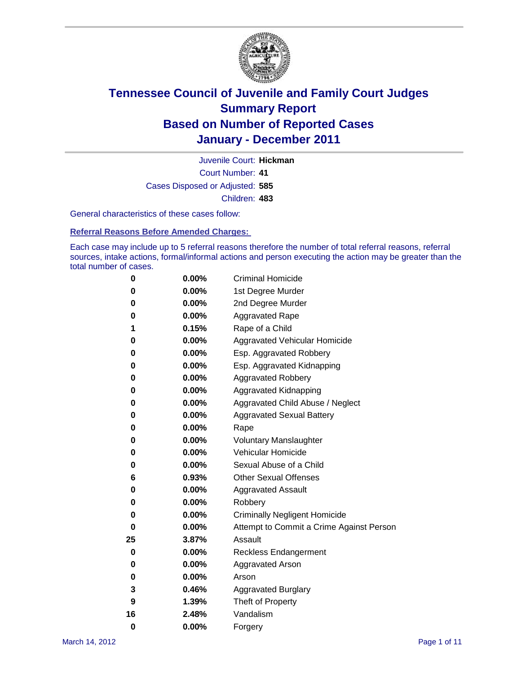

Court Number: **41** Juvenile Court: **Hickman** Cases Disposed or Adjusted: **585** Children: **483**

General characteristics of these cases follow:

**Referral Reasons Before Amended Charges:** 

Each case may include up to 5 referral reasons therefore the number of total referral reasons, referral sources, intake actions, formal/informal actions and person executing the action may be greater than the total number of cases.

| 0  | 0.00%    | <b>Criminal Homicide</b>                 |  |  |  |
|----|----------|------------------------------------------|--|--|--|
| 0  | 0.00%    | 1st Degree Murder                        |  |  |  |
| 0  | 0.00%    | 2nd Degree Murder                        |  |  |  |
| 0  | 0.00%    | <b>Aggravated Rape</b>                   |  |  |  |
| 1  | 0.15%    | Rape of a Child                          |  |  |  |
| 0  | 0.00%    | Aggravated Vehicular Homicide            |  |  |  |
| 0  | 0.00%    | Esp. Aggravated Robbery                  |  |  |  |
| 0  | 0.00%    | Esp. Aggravated Kidnapping               |  |  |  |
| 0  | 0.00%    | <b>Aggravated Robbery</b>                |  |  |  |
| 0  | 0.00%    | Aggravated Kidnapping                    |  |  |  |
| 0  | 0.00%    | Aggravated Child Abuse / Neglect         |  |  |  |
| 0  | $0.00\%$ | <b>Aggravated Sexual Battery</b>         |  |  |  |
| 0  | 0.00%    | Rape                                     |  |  |  |
| 0  | $0.00\%$ | <b>Voluntary Manslaughter</b>            |  |  |  |
| 0  | 0.00%    | Vehicular Homicide                       |  |  |  |
| 0  | 0.00%    | Sexual Abuse of a Child                  |  |  |  |
| 6  | 0.93%    | <b>Other Sexual Offenses</b>             |  |  |  |
| 0  | 0.00%    | <b>Aggravated Assault</b>                |  |  |  |
| 0  | $0.00\%$ | Robbery                                  |  |  |  |
| 0  | 0.00%    | <b>Criminally Negligent Homicide</b>     |  |  |  |
| 0  | 0.00%    | Attempt to Commit a Crime Against Person |  |  |  |
| 25 | 3.87%    | Assault                                  |  |  |  |
| 0  | 0.00%    | <b>Reckless Endangerment</b>             |  |  |  |
| 0  | 0.00%    | <b>Aggravated Arson</b>                  |  |  |  |
| 0  | 0.00%    | Arson                                    |  |  |  |
| 3  | 0.46%    | <b>Aggravated Burglary</b>               |  |  |  |
| 9  | 1.39%    | Theft of Property                        |  |  |  |
| 16 | 2.48%    | Vandalism                                |  |  |  |
| 0  | 0.00%    | Forgery                                  |  |  |  |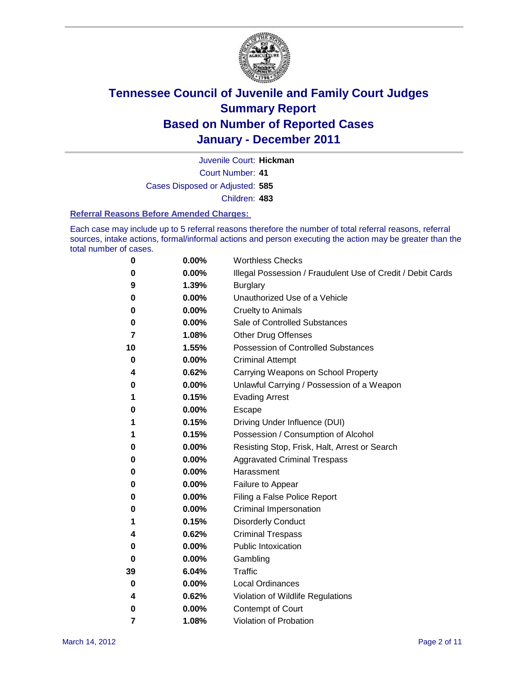

Juvenile Court: **Hickman**

Court Number: **41**

Cases Disposed or Adjusted: **585**

Children: **483**

#### **Referral Reasons Before Amended Charges:**

Each case may include up to 5 referral reasons therefore the number of total referral reasons, referral sources, intake actions, formal/informal actions and person executing the action may be greater than the total number of cases.

| 0  | 0.00%    | <b>Worthless Checks</b>                                     |
|----|----------|-------------------------------------------------------------|
| 0  | 0.00%    | Illegal Possession / Fraudulent Use of Credit / Debit Cards |
| 9  | 1.39%    | <b>Burglary</b>                                             |
| 0  | $0.00\%$ | Unauthorized Use of a Vehicle                               |
| 0  | $0.00\%$ | <b>Cruelty to Animals</b>                                   |
| 0  | 0.00%    | Sale of Controlled Substances                               |
| 7  | 1.08%    | <b>Other Drug Offenses</b>                                  |
| 10 | 1.55%    | <b>Possession of Controlled Substances</b>                  |
| 0  | 0.00%    | <b>Criminal Attempt</b>                                     |
| 4  | 0.62%    | Carrying Weapons on School Property                         |
| 0  | 0.00%    | Unlawful Carrying / Possession of a Weapon                  |
| 1  | 0.15%    | <b>Evading Arrest</b>                                       |
| 0  | $0.00\%$ | Escape                                                      |
| 1  | 0.15%    | Driving Under Influence (DUI)                               |
| 1  | 0.15%    | Possession / Consumption of Alcohol                         |
| 0  | 0.00%    | Resisting Stop, Frisk, Halt, Arrest or Search               |
| 0  | $0.00\%$ | <b>Aggravated Criminal Trespass</b>                         |
| 0  | $0.00\%$ | Harassment                                                  |
| 0  | 0.00%    | Failure to Appear                                           |
| 0  | 0.00%    | Filing a False Police Report                                |
| 0  | 0.00%    | Criminal Impersonation                                      |
| 1  | 0.15%    | <b>Disorderly Conduct</b>                                   |
| 4  | 0.62%    | <b>Criminal Trespass</b>                                    |
| 0  | 0.00%    | <b>Public Intoxication</b>                                  |
| 0  | $0.00\%$ | Gambling                                                    |
| 39 | 6.04%    | Traffic                                                     |
| 0  | $0.00\%$ | <b>Local Ordinances</b>                                     |
| 4  | 0.62%    | Violation of Wildlife Regulations                           |
| 0  | $0.00\%$ | Contempt of Court                                           |
| 7  | 1.08%    | Violation of Probation                                      |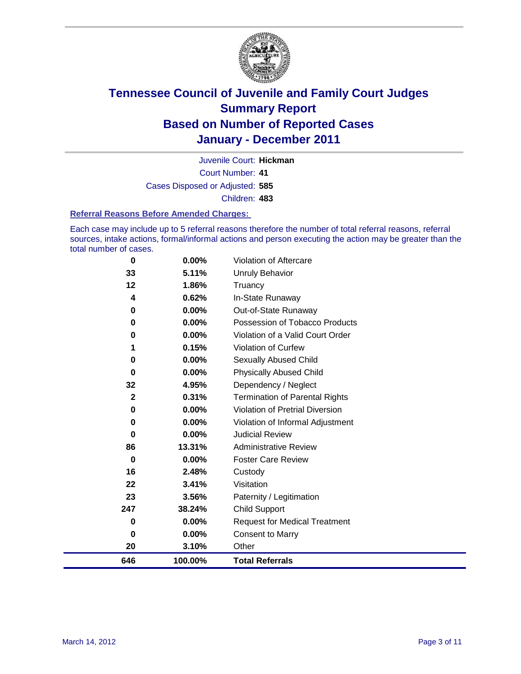

Court Number: **41** Juvenile Court: **Hickman** Cases Disposed or Adjusted: **585** Children: **483**

#### **Referral Reasons Before Amended Charges:**

Each case may include up to 5 referral reasons therefore the number of total referral reasons, referral sources, intake actions, formal/informal actions and person executing the action may be greater than the total number of cases.

| 646          | 100.00%  | <b>Total Referrals</b>                 |
|--------------|----------|----------------------------------------|
| 20           | 3.10%    | Other                                  |
| 0            | 0.00%    | <b>Consent to Marry</b>                |
| 0            | $0.00\%$ | <b>Request for Medical Treatment</b>   |
| 247          | 38.24%   | <b>Child Support</b>                   |
| 23           | 3.56%    | Paternity / Legitimation               |
| 22           | 3.41%    | Visitation                             |
| 16           | 2.48%    | Custody                                |
| 0            | 0.00%    | <b>Foster Care Review</b>              |
| 86           | 13.31%   | <b>Administrative Review</b>           |
| $\bf{0}$     | $0.00\%$ | <b>Judicial Review</b>                 |
| 0            | 0.00%    | Violation of Informal Adjustment       |
| 0            | $0.00\%$ | <b>Violation of Pretrial Diversion</b> |
| $\mathbf{2}$ | 0.31%    | Termination of Parental Rights         |
| 32           | 4.95%    | Dependency / Neglect                   |
| $\bf{0}$     | $0.00\%$ | <b>Physically Abused Child</b>         |
| 0            | 0.00%    | Sexually Abused Child                  |
|              | 0.15%    | Violation of Curfew                    |
| 0            | $0.00\%$ | Violation of a Valid Court Order       |
| 0            | 0.00%    | Possession of Tobacco Products         |
| 0            | $0.00\%$ | Out-of-State Runaway                   |
| 4            | 0.62%    | In-State Runaway                       |
| 12           | 1.86%    | Truancy                                |
| 33           | 5.11%    | <b>Unruly Behavior</b>                 |
| $\bf{0}$     | $0.00\%$ | <b>Violation of Aftercare</b>          |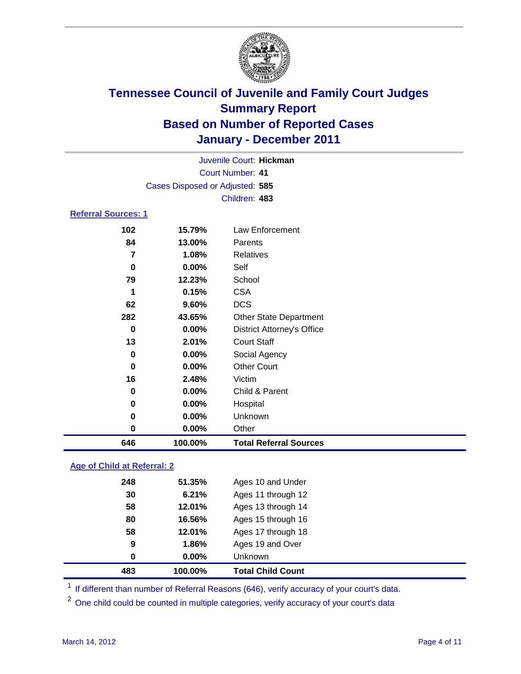

|                                 |          | Juvenile Court: Hickman           |  |  |
|---------------------------------|----------|-----------------------------------|--|--|
| <b>Court Number: 41</b>         |          |                                   |  |  |
| Cases Disposed or Adjusted: 585 |          |                                   |  |  |
|                                 |          | Children: 483                     |  |  |
| <b>Referral Sources: 1</b>      |          |                                   |  |  |
| 102                             | 15.79%   | Law Enforcement                   |  |  |
| 84                              | 13.00%   | Parents                           |  |  |
| 7                               | 1.08%    | <b>Relatives</b>                  |  |  |
| 0                               | $0.00\%$ | Self                              |  |  |
| 79                              | 12.23%   | School                            |  |  |
| 1                               | 0.15%    | <b>CSA</b>                        |  |  |
| 62                              | 9.60%    | <b>DCS</b>                        |  |  |
| 282                             | 43.65%   | <b>Other State Department</b>     |  |  |
| 0                               | $0.00\%$ | <b>District Attorney's Office</b> |  |  |
| 13                              | 2.01%    | <b>Court Staff</b>                |  |  |
| 0                               | 0.00%    | Social Agency                     |  |  |
| 0                               | 0.00%    | <b>Other Court</b>                |  |  |
| 16                              | 2.48%    | Victim                            |  |  |
| 0                               | $0.00\%$ | Child & Parent                    |  |  |
| 0                               | $0.00\%$ | Hospital                          |  |  |
| 0                               | 0.00%    | Unknown                           |  |  |
| 0                               | 0.00%    | Other                             |  |  |

### **Age of Child at Referral: 2**

| 0   | 0.00%  | <b>Unknown</b>     |
|-----|--------|--------------------|
| 9   | 1.86%  | Ages 19 and Over   |
| 58  | 12.01% | Ages 17 through 18 |
| 80  | 16.56% | Ages 15 through 16 |
| 58  | 12.01% | Ages 13 through 14 |
| 30  | 6.21%  | Ages 11 through 12 |
| 248 | 51.35% | Ages 10 and Under  |
|     |        |                    |

<sup>1</sup> If different than number of Referral Reasons (646), verify accuracy of your court's data.

**100.00% Total Referral Sources**

<sup>2</sup> One child could be counted in multiple categories, verify accuracy of your court's data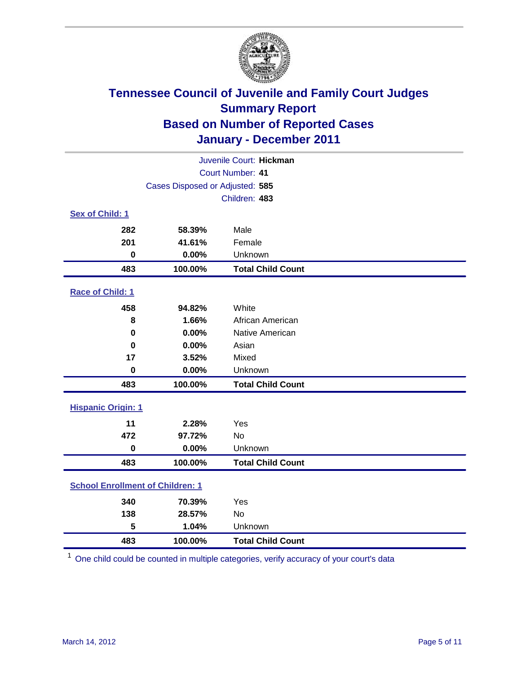

| Juvenile Court: Hickman                 |                                 |                          |  |  |
|-----------------------------------------|---------------------------------|--------------------------|--|--|
| <b>Court Number: 41</b>                 |                                 |                          |  |  |
|                                         | Cases Disposed or Adjusted: 585 |                          |  |  |
|                                         |                                 | Children: 483            |  |  |
| Sex of Child: 1                         |                                 |                          |  |  |
| 282                                     | 58.39%                          | Male                     |  |  |
| 201                                     | 41.61%                          | Female                   |  |  |
| $\mathbf 0$                             | 0.00%                           | Unknown                  |  |  |
| 483                                     | 100.00%                         | <b>Total Child Count</b> |  |  |
| Race of Child: 1                        |                                 |                          |  |  |
| 458                                     | 94.82%                          | White                    |  |  |
| 8                                       | 1.66%                           | African American         |  |  |
| $\mathbf 0$                             | 0.00%                           | Native American          |  |  |
| $\bf{0}$                                | 0.00%                           | Asian                    |  |  |
| 17                                      | 3.52%                           | Mixed                    |  |  |
| $\mathbf 0$                             | 0.00%                           | Unknown                  |  |  |
| 483                                     | 100.00%                         | <b>Total Child Count</b> |  |  |
| <b>Hispanic Origin: 1</b>               |                                 |                          |  |  |
| 11                                      | 2.28%                           | Yes                      |  |  |
| 472                                     | 97.72%                          | No                       |  |  |
| $\mathbf 0$                             | 0.00%                           | Unknown                  |  |  |
| 483                                     | 100.00%                         | <b>Total Child Count</b> |  |  |
| <b>School Enrollment of Children: 1</b> |                                 |                          |  |  |
| 340                                     | 70.39%                          | Yes                      |  |  |
| 138                                     | 28.57%                          | No                       |  |  |
| 5                                       | 1.04%                           | Unknown                  |  |  |
| 483                                     | 100.00%                         | <b>Total Child Count</b> |  |  |

One child could be counted in multiple categories, verify accuracy of your court's data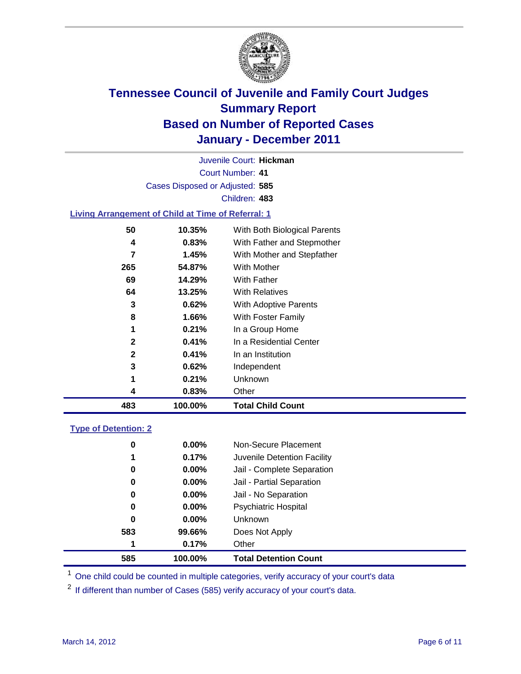

Court Number: **41** Juvenile Court: **Hickman** Cases Disposed or Adjusted: **585** Children: **483**

#### **Living Arrangement of Child at Time of Referral: 1**

| 483          | 100.00% | <b>Total Child Count</b>     |
|--------------|---------|------------------------------|
| 4            | 0.83%   | Other                        |
| 1            | 0.21%   | Unknown                      |
| 3            | 0.62%   | Independent                  |
| $\mathbf{2}$ | 0.41%   | In an Institution            |
| $\mathbf{2}$ | 0.41%   | In a Residential Center      |
| 1            | 0.21%   | In a Group Home              |
| 8            | 1.66%   | With Foster Family           |
| 3            | 0.62%   | <b>With Adoptive Parents</b> |
| 64           | 13.25%  | <b>With Relatives</b>        |
| 69           | 14.29%  | With Father                  |
| 265          | 54.87%  | With Mother                  |
| 7            | 1.45%   | With Mother and Stepfather   |
| 4            | 0.83%   | With Father and Stepmother   |
| 50           | 10.35%  | With Both Biological Parents |
|              |         |                              |

#### **Type of Detention: 2**

| 585 | 100.00%              | <b>Total Detention Count</b> |
|-----|----------------------|------------------------------|
| 1   | 0.17%                | Other                        |
| 583 | 99.66%               | Does Not Apply               |
|     | $\bf{0}$<br>$0.00\%$ | <b>Unknown</b>               |
|     | 0<br>$0.00\%$        | <b>Psychiatric Hospital</b>  |
|     | 0.00%<br>0           | Jail - No Separation         |
|     | $0.00\%$<br>0        | Jail - Partial Separation    |
|     | $0.00\%$<br>0        | Jail - Complete Separation   |
|     | 0.17%<br>1           | Juvenile Detention Facility  |
|     | 0<br>$0.00\%$        | Non-Secure Placement         |
|     |                      |                              |

<sup>1</sup> One child could be counted in multiple categories, verify accuracy of your court's data

<sup>2</sup> If different than number of Cases (585) verify accuracy of your court's data.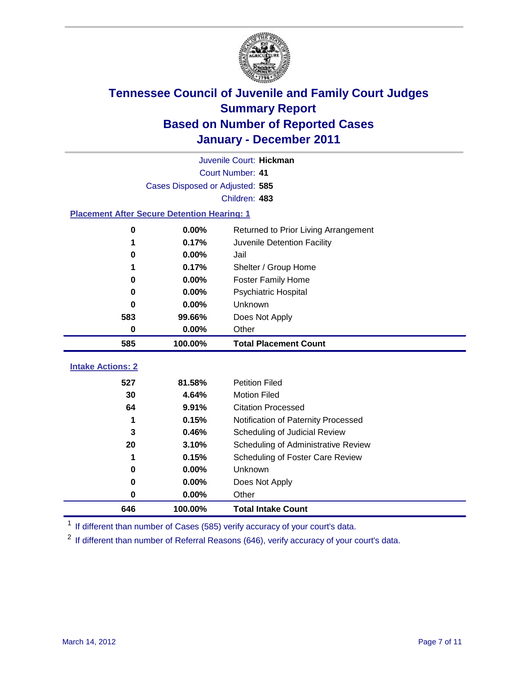

|                                                    | Juvenile Court: Hickman         |                                      |  |  |  |
|----------------------------------------------------|---------------------------------|--------------------------------------|--|--|--|
|                                                    | Court Number: 41                |                                      |  |  |  |
|                                                    | Cases Disposed or Adjusted: 585 |                                      |  |  |  |
|                                                    |                                 | Children: 483                        |  |  |  |
| <b>Placement After Secure Detention Hearing: 1</b> |                                 |                                      |  |  |  |
| 0                                                  | 0.00%                           | Returned to Prior Living Arrangement |  |  |  |
| 1                                                  | 0.17%                           | Juvenile Detention Facility          |  |  |  |
| 0                                                  | 0.00%                           | Jail                                 |  |  |  |
|                                                    | 0.17%                           | Shelter / Group Home                 |  |  |  |
| 0                                                  | 0.00%                           | Foster Family Home                   |  |  |  |
| 0                                                  | 0.00%                           | Psychiatric Hospital                 |  |  |  |
| O                                                  | 0.00%                           | Unknown                              |  |  |  |
| 583                                                | 99.66%                          | Does Not Apply                       |  |  |  |
| 0                                                  | 0.00%                           | Other                                |  |  |  |
| 585                                                | 100.00%                         | <b>Total Placement Count</b>         |  |  |  |
| <b>Intake Actions: 2</b>                           |                                 |                                      |  |  |  |
|                                                    |                                 |                                      |  |  |  |
| 527                                                | 81.58%                          | <b>Petition Filed</b>                |  |  |  |
| 30                                                 | 4.64%                           | <b>Motion Filed</b>                  |  |  |  |
| 64                                                 | 9.91%                           | <b>Citation Processed</b>            |  |  |  |
| 1                                                  | 0.15%                           | Notification of Paternity Processed  |  |  |  |
| 3                                                  | 0.46%                           | Scheduling of Judicial Review        |  |  |  |
| 20                                                 | 3.10%                           | Scheduling of Administrative Review  |  |  |  |
| 1                                                  | 0.15%                           | Scheduling of Foster Care Review     |  |  |  |
| 0                                                  | 0.00%                           | <b>Unknown</b>                       |  |  |  |
| 0                                                  | 0.00%                           | Does Not Apply                       |  |  |  |
| 0                                                  | 0.00%                           | Other                                |  |  |  |
| 646                                                | 100.00%                         | <b>Total Intake Count</b>            |  |  |  |

<sup>1</sup> If different than number of Cases (585) verify accuracy of your court's data.

<sup>2</sup> If different than number of Referral Reasons (646), verify accuracy of your court's data.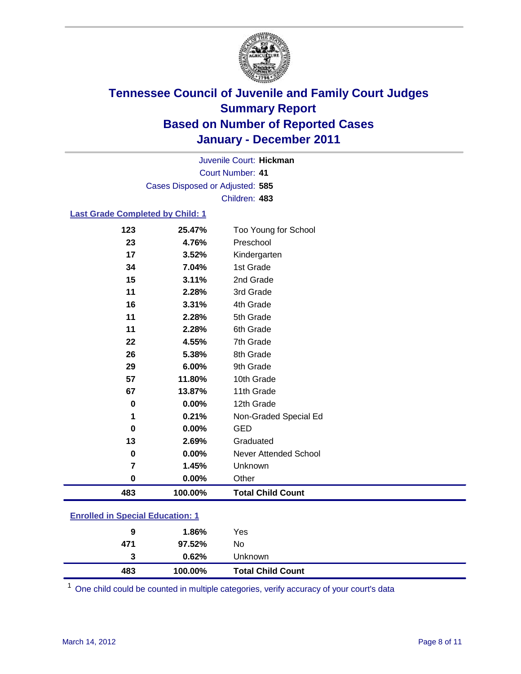

Court Number: **41** Juvenile Court: **Hickman** Cases Disposed or Adjusted: **585** Children: **483**

#### **Last Grade Completed by Child: 1**

| 483      | 100.00%        | <b>Total Child Count</b>     |  |
|----------|----------------|------------------------------|--|
| 0        | $0.00\%$       | Other                        |  |
| 7        | 1.45%          | Unknown                      |  |
| 0        | 0.00%          | <b>Never Attended School</b> |  |
| 13       | 2.69%          | Graduated                    |  |
| 0        | $0.00\%$       | <b>GED</b>                   |  |
| 1        | 0.21%          | Non-Graded Special Ed        |  |
| 0        | 0.00%          | 12th Grade                   |  |
| 67       | 13.87%         | 11th Grade                   |  |
| 57       | 11.80%         | 10th Grade                   |  |
| 29       | 6.00%          | 9th Grade                    |  |
| 26       | 5.38%          | 8th Grade                    |  |
| 22       | 4.55%          | 7th Grade                    |  |
| 11       | 2.28%          | 6th Grade                    |  |
| 11       | 2.28%          | 5th Grade                    |  |
| 16       | 3.31%          | 4th Grade                    |  |
| 11       | 2.28%          | 3rd Grade                    |  |
| 15       | 3.11%          | 2nd Grade                    |  |
| 34       | 7.04%          | Kindergarten<br>1st Grade    |  |
| 23<br>17 | 4.76%<br>3.52% | Preschool                    |  |
| 123      | 25.47%         | Too Young for School         |  |

### **Enrolled in Special Education: 1**

| 483 | 100.00%  | <b>Total Child Count</b> |
|-----|----------|--------------------------|
| 3   | $0.62\%$ | <b>Unknown</b>           |
| 471 | 97.52%   | No                       |
| 9   | 1.86%    | Yes                      |
|     |          |                          |

One child could be counted in multiple categories, verify accuracy of your court's data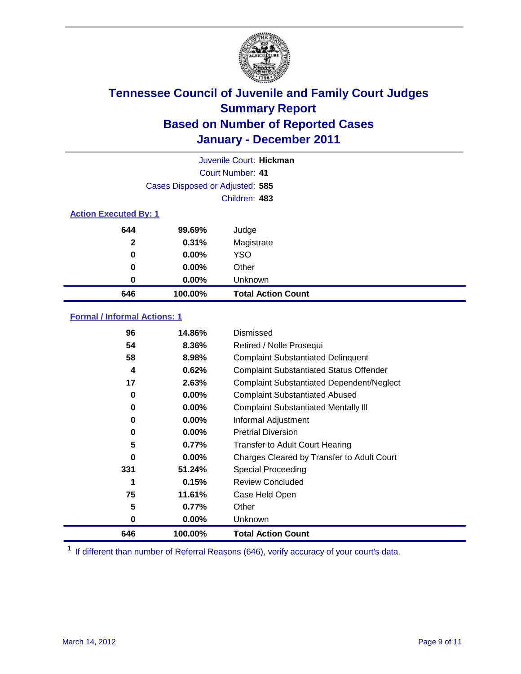

|                              | Juvenile Court: Hickman         |                           |  |  |
|------------------------------|---------------------------------|---------------------------|--|--|
|                              | Court Number: 41                |                           |  |  |
|                              | Cases Disposed or Adjusted: 585 |                           |  |  |
|                              |                                 | Children: 483             |  |  |
| <b>Action Executed By: 1</b> |                                 |                           |  |  |
| 644                          | 99.69%                          | Judge                     |  |  |
| $\mathbf{2}$                 | 0.31%                           | Magistrate                |  |  |
| $\bf{0}$                     | $0.00\%$                        | <b>YSO</b>                |  |  |
| 0                            | $0.00\%$                        | Other                     |  |  |
| 0                            | 0.00%                           | Unknown                   |  |  |
| 646                          | 100.00%                         | <b>Total Action Count</b> |  |  |

### **Formal / Informal Actions: 1**

| 96  | 14.86%   | Dismissed                                        |
|-----|----------|--------------------------------------------------|
| 54  | 8.36%    | Retired / Nolle Prosequi                         |
| 58  | 8.98%    | <b>Complaint Substantiated Delinquent</b>        |
| 4   | 0.62%    | <b>Complaint Substantiated Status Offender</b>   |
| 17  | 2.63%    | <b>Complaint Substantiated Dependent/Neglect</b> |
| 0   | $0.00\%$ | <b>Complaint Substantiated Abused</b>            |
| 0   | $0.00\%$ | <b>Complaint Substantiated Mentally III</b>      |
| 0   | $0.00\%$ | Informal Adjustment                              |
| 0   | $0.00\%$ | <b>Pretrial Diversion</b>                        |
| 5   | 0.77%    | <b>Transfer to Adult Court Hearing</b>           |
| 0   | 0.00%    | Charges Cleared by Transfer to Adult Court       |
| 331 | 51.24%   | Special Proceeding                               |
| 1   | 0.15%    | <b>Review Concluded</b>                          |
| 75  | 11.61%   | Case Held Open                                   |
| 5   | 0.77%    | Other                                            |
| 0   | $0.00\%$ | Unknown                                          |
| 646 | 100.00%  | <b>Total Action Count</b>                        |

<sup>1</sup> If different than number of Referral Reasons (646), verify accuracy of your court's data.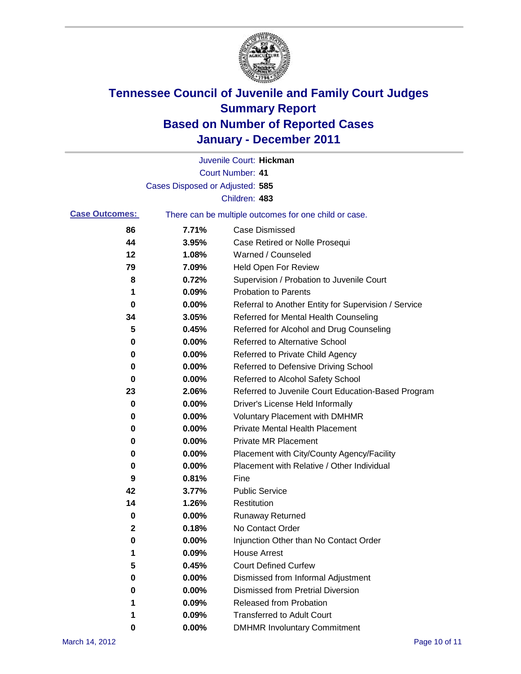

|                       |                                 | Juvenile Court: Hickman                               |
|-----------------------|---------------------------------|-------------------------------------------------------|
|                       |                                 | <b>Court Number: 41</b>                               |
|                       | Cases Disposed or Adjusted: 585 |                                                       |
|                       |                                 | Children: 483                                         |
| <b>Case Outcomes:</b> |                                 | There can be multiple outcomes for one child or case. |
| 86                    | 7.71%                           | <b>Case Dismissed</b>                                 |
| 44                    | 3.95%                           | Case Retired or Nolle Prosequi                        |
| 12                    | 1.08%                           | Warned / Counseled                                    |
| 79                    | 7.09%                           | Held Open For Review                                  |
| 8                     | 0.72%                           | Supervision / Probation to Juvenile Court             |
| 1                     | 0.09%                           | <b>Probation to Parents</b>                           |
| 0                     | 0.00%                           | Referral to Another Entity for Supervision / Service  |
| 34                    | 3.05%                           | Referred for Mental Health Counseling                 |
| 5                     | 0.45%                           | Referred for Alcohol and Drug Counseling              |
| 0                     | 0.00%                           | Referred to Alternative School                        |
| 0                     | 0.00%                           | Referred to Private Child Agency                      |
| 0                     | 0.00%                           | Referred to Defensive Driving School                  |
| 0                     | 0.00%                           | Referred to Alcohol Safety School                     |
| 23                    | 2.06%                           | Referred to Juvenile Court Education-Based Program    |
| 0                     | 0.00%                           | Driver's License Held Informally                      |
| 0                     | 0.00%                           | <b>Voluntary Placement with DMHMR</b>                 |
| 0                     | 0.00%                           | <b>Private Mental Health Placement</b>                |
| 0                     | 0.00%                           | <b>Private MR Placement</b>                           |
| 0                     | 0.00%                           | Placement with City/County Agency/Facility            |
| 0                     | 0.00%                           | Placement with Relative / Other Individual            |
| 9                     | 0.81%                           | Fine                                                  |
| 42                    | 3.77%                           | <b>Public Service</b>                                 |
| 14                    | 1.26%                           | Restitution                                           |
| 0                     | 0.00%                           | <b>Runaway Returned</b>                               |
| 2                     | 0.18%                           | No Contact Order                                      |
| 0                     | 0.00%                           | Injunction Other than No Contact Order                |
| 1                     | 0.09%                           | <b>House Arrest</b>                                   |
| 5                     | 0.45%                           | <b>Court Defined Curfew</b>                           |
| 0                     | 0.00%                           | Dismissed from Informal Adjustment                    |
| 0                     | 0.00%                           | <b>Dismissed from Pretrial Diversion</b>              |
| 1                     | 0.09%                           | Released from Probation                               |
| 1                     | 0.09%                           | <b>Transferred to Adult Court</b>                     |
| 0                     | 0.00%                           | <b>DMHMR Involuntary Commitment</b>                   |